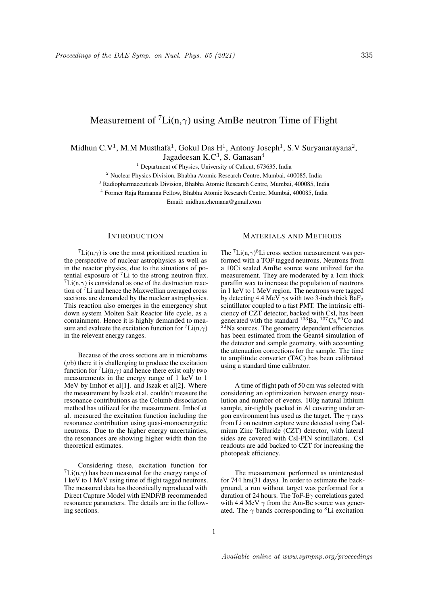# Measurement of  ${}^{7}Li(n,\gamma)$  using AmBe neutron Time of Flight

Midhun C.V<sup>1</sup>, M.M Musthafa<sup>1</sup>, Gokul Das H<sup>1</sup>, Antony Joseph<sup>1</sup>, S.V Suryanarayana<sup>2</sup>,

Jagadeesan K.C $3$ , S. Ganasan $4$ 

<sup>1</sup> Department of Physics, University of Calicut, 673635, India

<sup>2</sup> Nuclear Physics Division, Bhabha Atomic Research Centre, Mumbai, 400085, India

<sup>3</sup> Radiopharmaceuticals Division, Bhabha Atomic Research Centre, Mumbai, 400085, India

<sup>4</sup> Former Raja Ramanna Fellow, Bhabha Atomic Research Centre, Mumbai, 400085, India

Email: midhun.chemana@gmail.com

### **INTRODUCTION**

 ${}^{7}$ Li(n, $\gamma$ ) is one the most prioritized reaction in the perspective of nuclear astrophysics as well as in the reactor physics, due to the situations of potential exposure of  $7$ Li to the strong neutron flux.  ${}^{7}$ Li(n, $\gamma$ ) is considered as one of the destruction reaction of <sup>7</sup>Li and hence the Maxwellian averaged cross sections are demanded by the nuclear astrophysics. This reaction also emerges in the emergency shut down system Molten Salt Reactor life cycle, as a containment. Hence it is highly demanded to measure and evaluate the excitation function for  ${}^{7}$ Li(n, $\gamma$ ) in the relevent energy ranges.

Because of the cross sections are in microbarns  $(\mu b)$  there it is challenging to produce the excitation function for  ${}^{7}Li(n,\gamma)$  and hence there exist only two measurements in the energy range of 1 keV to 1 MeV by Imhof et al[1]. and Iszak et al[2]. Where the measurement by Iszak et al. couldn't measure the resonance contributions as the Columb dissociation method has utilized for the measurement. Imhof et al. measured the excitation function including the resonance contribution using quasi-monoenergetic neutrons. Due to the higher energy uncertainties, the resonances are showing higher width than the theoretical estimates.

Considering these, excitation function for  ${}^{7}$ Li(n, $\gamma$ ) has been measured for the energy range of 1 keV to 1 MeV using time of flight tagged neutrons. The measured data has theoretically reproduced with Direct Capture Model with ENDF/B recommended resonance parameters. The details are in the following sections.

## MATERIALS AND METHODS

The  ${}^{7}$ Li(n, $\gamma$ )<sup>8</sup>Li cross section measurement was performed with a TOF tagged neutrons. Neutrons from a 10Ci sealed AmBe source were utilized for the measurement. They are moderated by a 1cm thick paraffin wax to increase the population of neutrons in 1 keV to 1 MeV region. The neutrons were tagged by detecting 4.4 MeV  $\gamma$ s with two 3-inch thick BaF<sub>2</sub> scintillator coupled to a fast PMT. The intrinsic efficiency of CZT detector, backed with CsI, has been generated with the standard  $^{133}$ Ba,  $^{137}$ Cs,  $^{60}$ Co and  $2<sup>22</sup>Na$  sources. The geometry dependent efficiencies has been estimated from the Geant4 simulation of the detector and sample geometry, with accounting the attenuation corrections for the sample. The time to amplitude converter (TAC) has been calibrated using a standard time calibrator.

A time of flight path of 50 cm was selected with considering an optimization between energy resolution and number of events. 100g natural lithium sample, air-tightly packed in Al covering under argon environment has used as the target. The  $\gamma$  rays from Li on neutron capture were detected using Cadmium Zinc Telluride (CZT) detector, with lateral sides are covered with CsI-PIN scintillators. CsI readouts are add backed to CZT for increasing the photopeak efficiency.

The measurement performed as uninterested for 744 hrs(31 days). In order to estimate the background, a run without target was performed for a duration of 24 hours. The ToF-E $\gamma$  correlations gated with 4.4 MeV  $\gamma$  from the Am-Be source was generated. The  $\gamma$  bands corresponding to <sup>8</sup>Li excitation